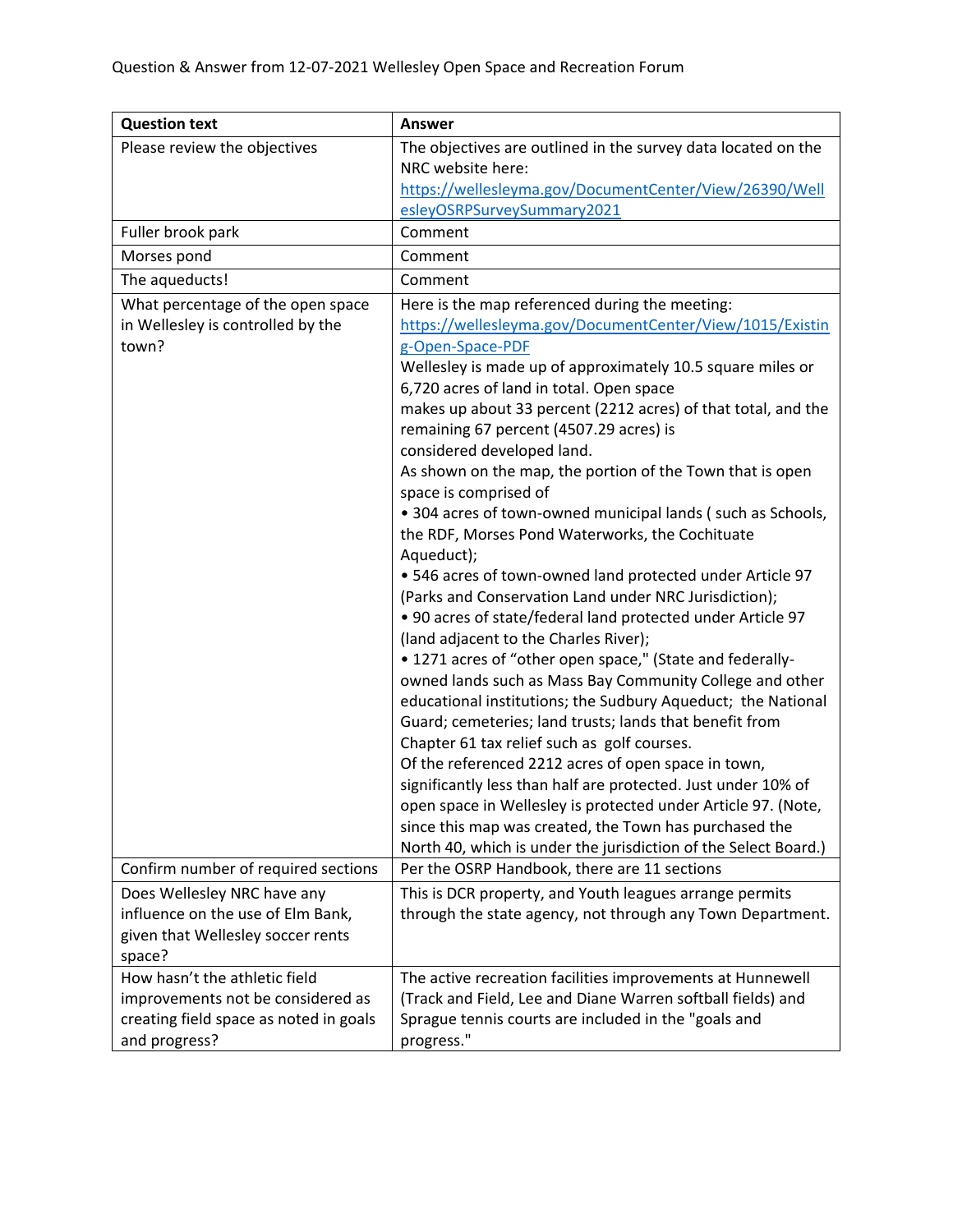| <b>Question text</b>                   | <b>Answer</b>                                                                                                           |
|----------------------------------------|-------------------------------------------------------------------------------------------------------------------------|
| Please review the objectives           | The objectives are outlined in the survey data located on the                                                           |
|                                        | NRC website here:                                                                                                       |
|                                        | https://wellesleyma.gov/DocumentCenter/View/26390/Well                                                                  |
|                                        | esleyOSRPSurveySummary2021                                                                                              |
| Fuller brook park                      | Comment                                                                                                                 |
| Morses pond                            | Comment                                                                                                                 |
| The aqueducts!                         | Comment                                                                                                                 |
| What percentage of the open space      | Here is the map referenced during the meeting:                                                                          |
| in Wellesley is controlled by the      | https://wellesleyma.gov/DocumentCenter/View/1015/Existin                                                                |
| town?                                  | g-Open-Space-PDF                                                                                                        |
|                                        | Wellesley is made up of approximately 10.5 square miles or                                                              |
|                                        | 6,720 acres of land in total. Open space                                                                                |
|                                        | makes up about 33 percent (2212 acres) of that total, and the                                                           |
|                                        | remaining 67 percent (4507.29 acres) is<br>considered developed land.                                                   |
|                                        | As shown on the map, the portion of the Town that is open                                                               |
|                                        | space is comprised of                                                                                                   |
|                                        | • 304 acres of town-owned municipal lands (such as Schools,                                                             |
|                                        | the RDF, Morses Pond Waterworks, the Cochituate                                                                         |
|                                        | Aqueduct);                                                                                                              |
|                                        | • 546 acres of town-owned land protected under Article 97                                                               |
|                                        | (Parks and Conservation Land under NRC Jurisdiction);                                                                   |
|                                        | . 90 acres of state/federal land protected under Article 97                                                             |
|                                        | (land adjacent to the Charles River);                                                                                   |
|                                        | • 1271 acres of "other open space," (State and federally-                                                               |
|                                        | owned lands such as Mass Bay Community College and other                                                                |
|                                        | educational institutions; the Sudbury Aqueduct; the National                                                            |
|                                        | Guard; cemeteries; land trusts; lands that benefit from                                                                 |
|                                        | Chapter 61 tax relief such as golf courses.                                                                             |
|                                        | Of the referenced 2212 acres of open space in town,                                                                     |
|                                        | significantly less than half are protected. Just under 10% of                                                           |
|                                        | open space in Wellesley is protected under Article 97. (Note,<br>since this map was created, the Town has purchased the |
|                                        | North 40, which is under the jurisdiction of the Select Board.)                                                         |
| Confirm number of required sections    | Per the OSRP Handbook, there are 11 sections                                                                            |
| Does Wellesley NRC have any            | This is DCR property, and Youth leagues arrange permits                                                                 |
| influence on the use of Elm Bank,      | through the state agency, not through any Town Department.                                                              |
| given that Wellesley soccer rents      |                                                                                                                         |
| space?                                 |                                                                                                                         |
| How hasn't the athletic field          | The active recreation facilities improvements at Hunnewell                                                              |
| improvements not be considered as      | (Track and Field, Lee and Diane Warren softball fields) and                                                             |
| creating field space as noted in goals | Sprague tennis courts are included in the "goals and                                                                    |
| and progress?                          | progress."                                                                                                              |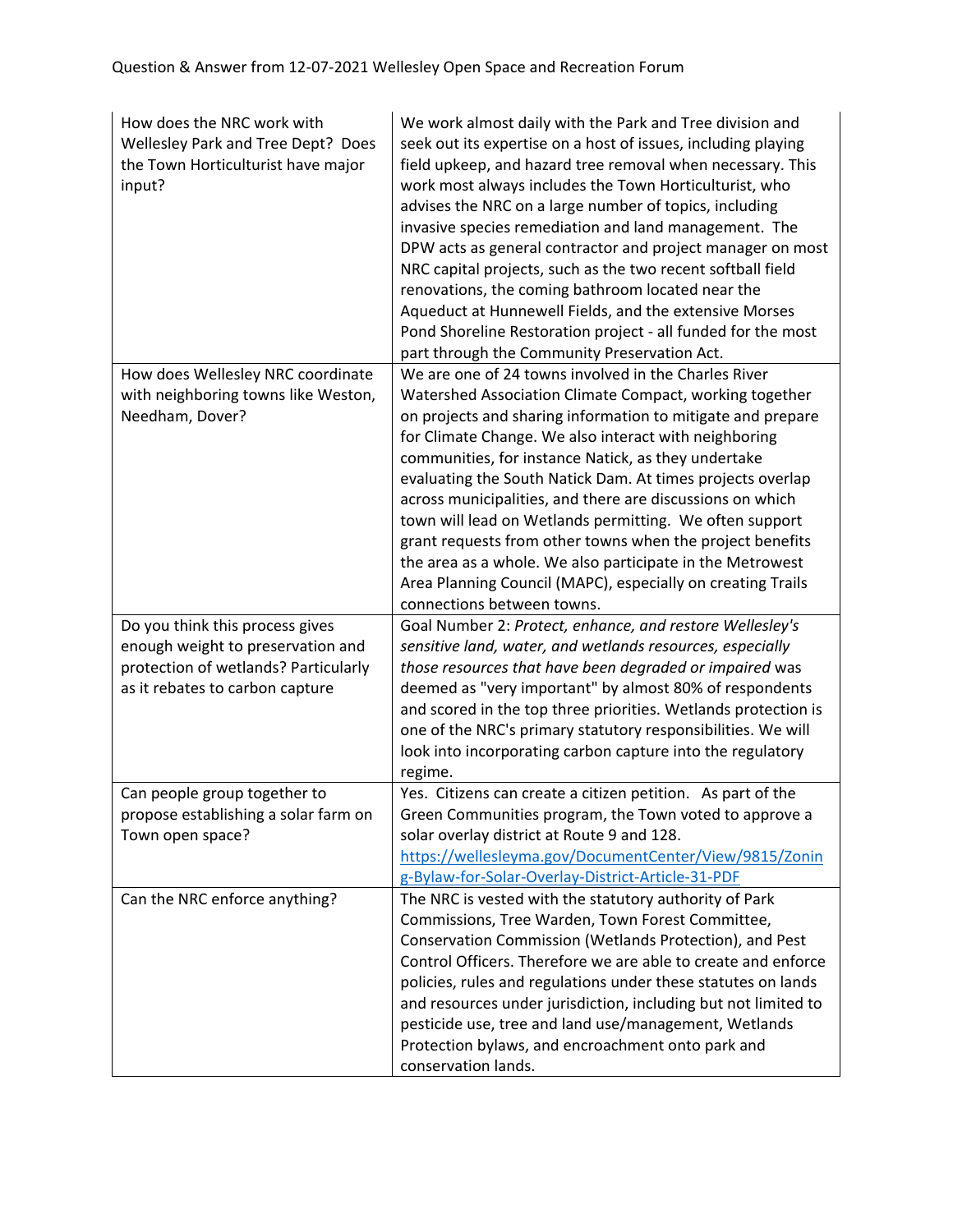| How does the NRC work with<br>Wellesley Park and Tree Dept? Does<br>the Town Horticulturist have major<br>input? | We work almost daily with the Park and Tree division and<br>seek out its expertise on a host of issues, including playing<br>field upkeep, and hazard tree removal when necessary. This<br>work most always includes the Town Horticulturist, who<br>advises the NRC on a large number of topics, including<br>invasive species remediation and land management. The<br>DPW acts as general contractor and project manager on most<br>NRC capital projects, such as the two recent softball field<br>renovations, the coming bathroom located near the<br>Aqueduct at Hunnewell Fields, and the extensive Morses<br>Pond Shoreline Restoration project - all funded for the most<br>part through the Community Preservation Act. |
|------------------------------------------------------------------------------------------------------------------|----------------------------------------------------------------------------------------------------------------------------------------------------------------------------------------------------------------------------------------------------------------------------------------------------------------------------------------------------------------------------------------------------------------------------------------------------------------------------------------------------------------------------------------------------------------------------------------------------------------------------------------------------------------------------------------------------------------------------------|
| How does Wellesley NRC coordinate<br>with neighboring towns like Weston,                                         | We are one of 24 towns involved in the Charles River<br>Watershed Association Climate Compact, working together                                                                                                                                                                                                                                                                                                                                                                                                                                                                                                                                                                                                                  |
| Needham, Dover?                                                                                                  | on projects and sharing information to mitigate and prepare<br>for Climate Change. We also interact with neighboring                                                                                                                                                                                                                                                                                                                                                                                                                                                                                                                                                                                                             |
|                                                                                                                  | communities, for instance Natick, as they undertake                                                                                                                                                                                                                                                                                                                                                                                                                                                                                                                                                                                                                                                                              |
|                                                                                                                  | evaluating the South Natick Dam. At times projects overlap                                                                                                                                                                                                                                                                                                                                                                                                                                                                                                                                                                                                                                                                       |
|                                                                                                                  | across municipalities, and there are discussions on which                                                                                                                                                                                                                                                                                                                                                                                                                                                                                                                                                                                                                                                                        |
|                                                                                                                  | town will lead on Wetlands permitting. We often support<br>grant requests from other towns when the project benefits                                                                                                                                                                                                                                                                                                                                                                                                                                                                                                                                                                                                             |
|                                                                                                                  | the area as a whole. We also participate in the Metrowest                                                                                                                                                                                                                                                                                                                                                                                                                                                                                                                                                                                                                                                                        |
|                                                                                                                  | Area Planning Council (MAPC), especially on creating Trails                                                                                                                                                                                                                                                                                                                                                                                                                                                                                                                                                                                                                                                                      |
|                                                                                                                  | connections between towns.                                                                                                                                                                                                                                                                                                                                                                                                                                                                                                                                                                                                                                                                                                       |
| Do you think this process gives                                                                                  | Goal Number 2: Protect, enhance, and restore Wellesley's                                                                                                                                                                                                                                                                                                                                                                                                                                                                                                                                                                                                                                                                         |
| enough weight to preservation and                                                                                | sensitive land, water, and wetlands resources, especially                                                                                                                                                                                                                                                                                                                                                                                                                                                                                                                                                                                                                                                                        |
| protection of wetlands? Particularly                                                                             | those resources that have been degraded or impaired was                                                                                                                                                                                                                                                                                                                                                                                                                                                                                                                                                                                                                                                                          |
| as it rebates to carbon capture                                                                                  | deemed as "very important" by almost 80% of respondents<br>and scored in the top three priorities. Wetlands protection is                                                                                                                                                                                                                                                                                                                                                                                                                                                                                                                                                                                                        |
|                                                                                                                  | one of the NRC's primary statutory responsibilities. We will                                                                                                                                                                                                                                                                                                                                                                                                                                                                                                                                                                                                                                                                     |
|                                                                                                                  | look into incorporating carbon capture into the regulatory                                                                                                                                                                                                                                                                                                                                                                                                                                                                                                                                                                                                                                                                       |
|                                                                                                                  | regime.                                                                                                                                                                                                                                                                                                                                                                                                                                                                                                                                                                                                                                                                                                                          |
| Can people group together to                                                                                     | Yes. Citizens can create a citizen petition. As part of the                                                                                                                                                                                                                                                                                                                                                                                                                                                                                                                                                                                                                                                                      |
| propose establishing a solar farm on                                                                             | Green Communities program, the Town voted to approve a                                                                                                                                                                                                                                                                                                                                                                                                                                                                                                                                                                                                                                                                           |
| Town open space?                                                                                                 | solar overlay district at Route 9 and 128.<br>https://wellesleyma.gov/DocumentCenter/View/9815/Zonin                                                                                                                                                                                                                                                                                                                                                                                                                                                                                                                                                                                                                             |
|                                                                                                                  | g-Bylaw-for-Solar-Overlay-District-Article-31-PDF                                                                                                                                                                                                                                                                                                                                                                                                                                                                                                                                                                                                                                                                                |
| Can the NRC enforce anything?                                                                                    | The NRC is vested with the statutory authority of Park                                                                                                                                                                                                                                                                                                                                                                                                                                                                                                                                                                                                                                                                           |
|                                                                                                                  | Commissions, Tree Warden, Town Forest Committee,                                                                                                                                                                                                                                                                                                                                                                                                                                                                                                                                                                                                                                                                                 |
|                                                                                                                  | Conservation Commission (Wetlands Protection), and Pest                                                                                                                                                                                                                                                                                                                                                                                                                                                                                                                                                                                                                                                                          |
|                                                                                                                  | Control Officers. Therefore we are able to create and enforce                                                                                                                                                                                                                                                                                                                                                                                                                                                                                                                                                                                                                                                                    |
|                                                                                                                  | policies, rules and regulations under these statutes on lands                                                                                                                                                                                                                                                                                                                                                                                                                                                                                                                                                                                                                                                                    |
|                                                                                                                  | and resources under jurisdiction, including but not limited to<br>pesticide use, tree and land use/management, Wetlands                                                                                                                                                                                                                                                                                                                                                                                                                                                                                                                                                                                                          |
|                                                                                                                  | Protection bylaws, and encroachment onto park and                                                                                                                                                                                                                                                                                                                                                                                                                                                                                                                                                                                                                                                                                |
|                                                                                                                  | conservation lands.                                                                                                                                                                                                                                                                                                                                                                                                                                                                                                                                                                                                                                                                                                              |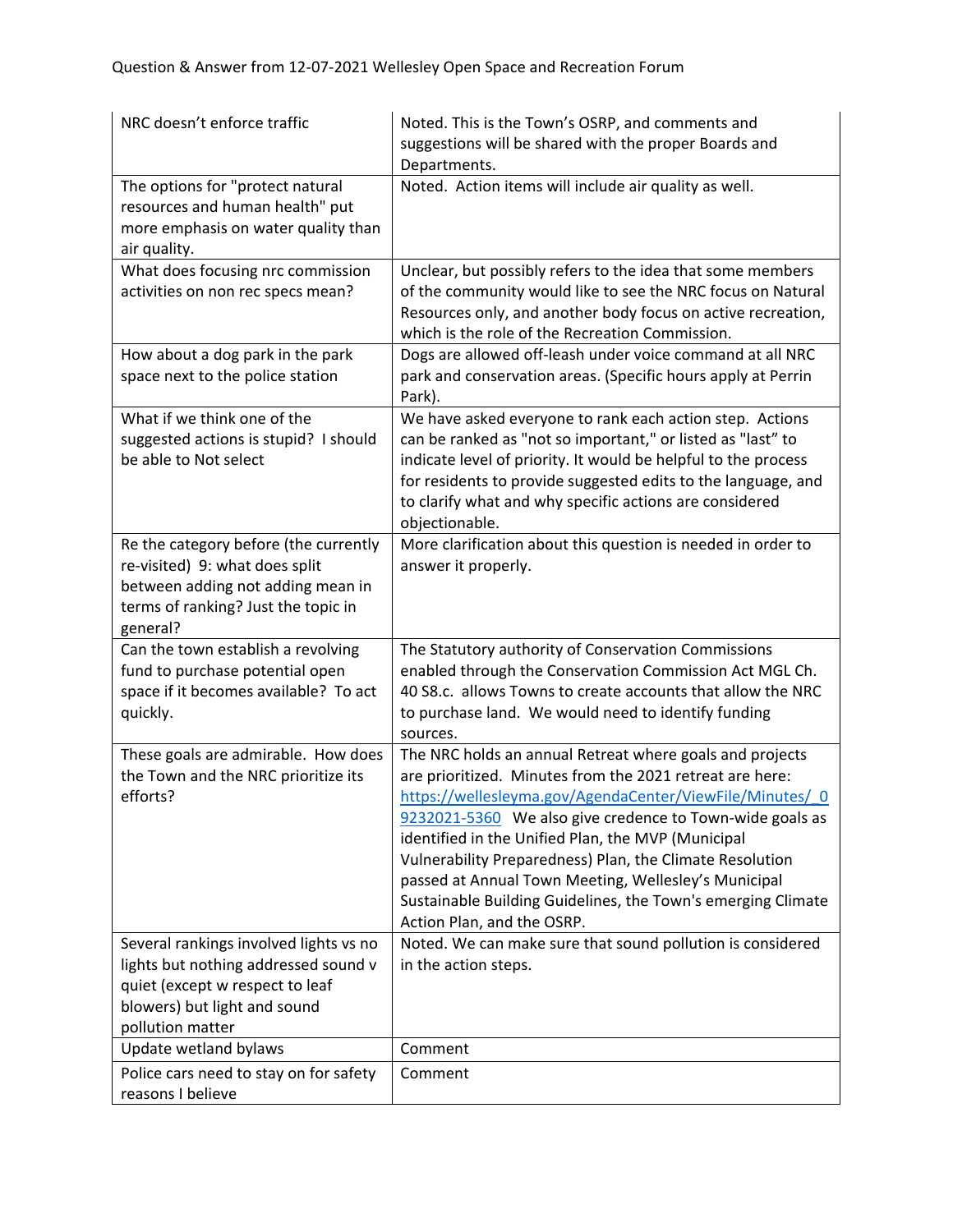| NRC doesn't enforce traffic                                                                                                                                           | Noted. This is the Town's OSRP, and comments and<br>suggestions will be shared with the proper Boards and<br>Departments.                                                                                                                                                                                                                                                                                                                                                                                            |
|-----------------------------------------------------------------------------------------------------------------------------------------------------------------------|----------------------------------------------------------------------------------------------------------------------------------------------------------------------------------------------------------------------------------------------------------------------------------------------------------------------------------------------------------------------------------------------------------------------------------------------------------------------------------------------------------------------|
| The options for "protect natural<br>resources and human health" put<br>more emphasis on water quality than<br>air quality.                                            | Noted. Action items will include air quality as well.                                                                                                                                                                                                                                                                                                                                                                                                                                                                |
| What does focusing nrc commission<br>activities on non rec specs mean?                                                                                                | Unclear, but possibly refers to the idea that some members<br>of the community would like to see the NRC focus on Natural<br>Resources only, and another body focus on active recreation,<br>which is the role of the Recreation Commission.                                                                                                                                                                                                                                                                         |
| How about a dog park in the park<br>space next to the police station                                                                                                  | Dogs are allowed off-leash under voice command at all NRC<br>park and conservation areas. (Specific hours apply at Perrin<br>Park).                                                                                                                                                                                                                                                                                                                                                                                  |
| What if we think one of the<br>suggested actions is stupid? I should<br>be able to Not select                                                                         | We have asked everyone to rank each action step. Actions<br>can be ranked as "not so important," or listed as "last" to<br>indicate level of priority. It would be helpful to the process<br>for residents to provide suggested edits to the language, and<br>to clarify what and why specific actions are considered<br>objectionable.                                                                                                                                                                              |
| Re the category before (the currently<br>re-visited) 9: what does split<br>between adding not adding mean in<br>terms of ranking? Just the topic in<br>general?       | More clarification about this question is needed in order to<br>answer it properly.                                                                                                                                                                                                                                                                                                                                                                                                                                  |
| Can the town establish a revolving<br>fund to purchase potential open<br>space if it becomes available? To act<br>quickly.                                            | The Statutory authority of Conservation Commissions<br>enabled through the Conservation Commission Act MGL Ch.<br>40 S8.c. allows Towns to create accounts that allow the NRC<br>to purchase land. We would need to identify funding<br>sources.                                                                                                                                                                                                                                                                     |
| These goals are admirable. How does<br>the Town and the NRC prioritize its<br>efforts?                                                                                | The NRC holds an annual Retreat where goals and projects<br>are prioritized. Minutes from the 2021 retreat are here:<br>https://wellesleyma.gov/AgendaCenter/ViewFile/Minutes/ 0<br>9232021-5360 We also give credence to Town-wide goals as<br>identified in the Unified Plan, the MVP (Municipal<br>Vulnerability Preparedness) Plan, the Climate Resolution<br>passed at Annual Town Meeting, Wellesley's Municipal<br>Sustainable Building Guidelines, the Town's emerging Climate<br>Action Plan, and the OSRP. |
| Several rankings involved lights vs no<br>lights but nothing addressed sound v<br>quiet (except w respect to leaf<br>blowers) but light and sound<br>pollution matter | Noted. We can make sure that sound pollution is considered<br>in the action steps.                                                                                                                                                                                                                                                                                                                                                                                                                                   |
| Update wetland bylaws                                                                                                                                                 | Comment                                                                                                                                                                                                                                                                                                                                                                                                                                                                                                              |
| Police cars need to stay on for safety<br>reasons I believe                                                                                                           | Comment                                                                                                                                                                                                                                                                                                                                                                                                                                                                                                              |